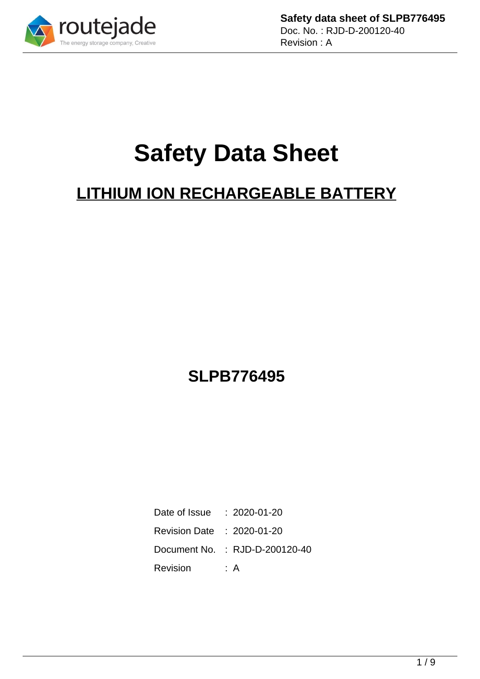

**Safety data sheet of SLPB776495** Doc. No. : RJD-D-200120-40 Revision : A

# **Safety Data Sheet**

# **LITHIUM ION RECHARGEABLE BATTERY**

## **SLPB776495**

| Date of Issue              | $: 2020 - 01 - 20$             |
|----------------------------|--------------------------------|
| Revision Date : 2020-01-20 |                                |
|                            | Document No. : RJD-D-200120-40 |
| Revision                   | : A                            |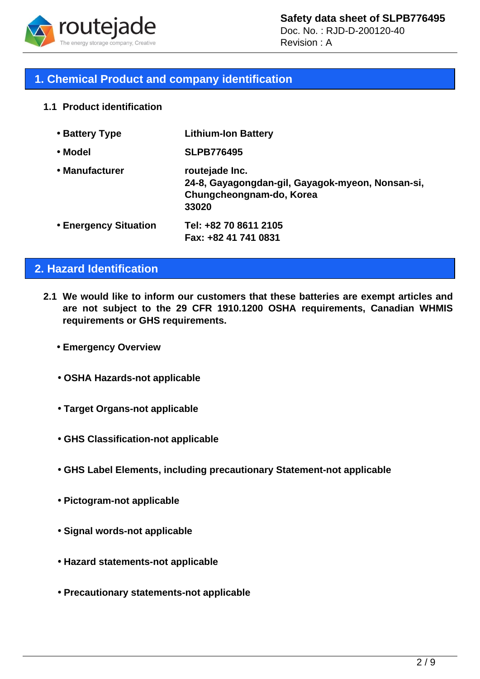

Doc. No. : RJD-D-200120-40 Revision : A

### **1. Chemical Product and company identification**

**1.1 Product identification**

| • Battery Type        | <b>Lithium-Ion Battery</b>                                                                              |
|-----------------------|---------------------------------------------------------------------------------------------------------|
| • Model               | <b>SLPB776495</b>                                                                                       |
| • Manufacturer        | routejade Inc.<br>24-8, Gayagongdan-gil, Gayagok-myeon, Nonsan-si,<br>Chungcheongnam-do, Korea<br>33020 |
| • Energency Situation | Tel: +82 70 8611 2105<br>Fax: +82 41 741 0831                                                           |

### **2. Hazard Identification**

- **2.1 We would like to inform our customers that these batteries are exempt articles and are not subject to the 29 CFR 1910.1200 OSHA requirements, Canadian WHMIS requirements or GHS requirements.**
	- • **Emergency Overview**
	- • **OSHA Hazards-not applicable**
	- • **Target Organs-not applicable**
	- • **GHS Classification-not applicable**
	- • **GHS Label Elements, including precautionary Statement-not applicable**
	- • **Pictogram-not applicable**
	- • **Signal words-not applicable**
	- • **Hazard statements-not applicable**
	- • **Precautionary statements-not applicable**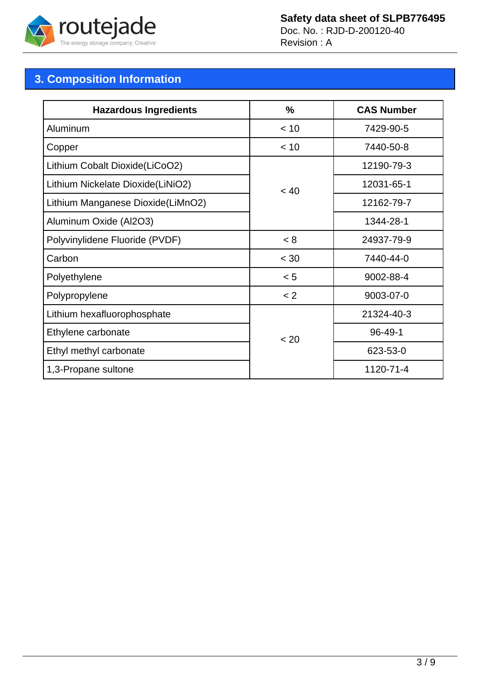

### **Safety data sheet of SLPB776495**

Doc. No. : RJD-D-200120-40 Revision : A

### **3. Composition Information**

| <b>Hazardous Ingredients</b>      | %      | <b>CAS Number</b> |  |
|-----------------------------------|--------|-------------------|--|
| Aluminum                          | < 10   | 7429-90-5         |  |
| Copper                            | < 10   | 7440-50-8         |  |
| Lithium Cobalt Dioxide(LiCoO2)    |        | 12190-79-3        |  |
| Lithium Nickelate Dioxide(LiNiO2) | < 40   | 12031-65-1        |  |
| Lithium Manganese Dioxide(LiMnO2) |        | 12162-79-7        |  |
| Aluminum Oxide (Al2O3)            |        | 1344-28-1         |  |
| Polyvinylidene Fluoride (PVDF)    | < 8    | 24937-79-9        |  |
| Carbon                            | $<$ 30 | 7440-44-0         |  |
| Polyethylene                      | < 5    | 9002-88-4         |  |
| Polypropylene                     | < 2    | 9003-07-0         |  |
| Lithium hexafluorophosphate       |        | 21324-40-3        |  |
| Ethylene carbonate                | < 20   | 96-49-1           |  |
| Ethyl methyl carbonate            |        | 623-53-0          |  |
| 1,3-Propane sultone               |        | 1120-71-4         |  |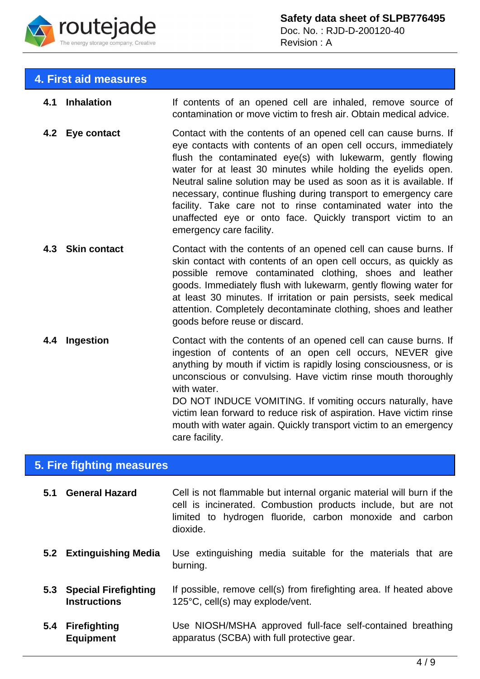

### **4. First aid measures**

**4.1 Inhalation** If contents of an opened cell are inhaled, remove source of contamination or move victim to fresh air. Obtain medical advice. **4.2 Eye contact** Contact with the contents of an opened cell can cause burns. If eye contacts with contents of an open cell occurs, immediately flush the contaminated eye(s) with lukewarm, gently flowing water for at least 30 minutes while holding the eyelids open. Neutral saline solution may be used as soon as it is available. If necessary, continue flushing during transport to emergency care facility. Take care not to rinse contaminated water into the unaffected eye or onto face. Quickly transport victim to an emergency care facility. **4.3 Skin contact Contact with the contents of an opened cell can cause burns. If** skin contact with contents of an open cell occurs, as quickly as possible remove contaminated clothing, shoes and leather goods. Immediately flush with lukewarm, gently flowing water for at least 30 minutes. If irritation or pain persists, seek medical attention. Completely decontaminate clothing, shoes and leather goods before reuse or discard. **4.4 Ingestion** Contact with the contents of an opened cell can cause burns. If ingestion of contents of an open cell occurs, NEVER give anything by mouth if victim is rapidly losing consciousness, or is unconscious or convulsing. Have victim rinse mouth thoroughly with water. DO NOT INDUCE VOMITING. If vomiting occurs naturally, have victim lean forward to reduce risk of aspiration. Have victim rinse mouth with water again. Quickly transport victim to an emergency

### **5. Fire fighting measures**

**5.1 General Hazard** Cell is not flammable but internal organic material will burn if the cell is incinerated. Combustion products include, but are not limited to hydrogen fluoride, carbon monoxide and carbon dioxide. **5.2 Extinguishing Media** Use extinguishing media suitable for the materials that are burning.

care facility.

- **5.3 Special Firefighting Instructions** If possible, remove cell(s) from firefighting area. If heated above 125°C, cell(s) may explode/vent.
- **5.4 Firefighting Equipment** Use NIOSH/MSHA approved full-face self-contained breathing apparatus (SCBA) with full protective gear.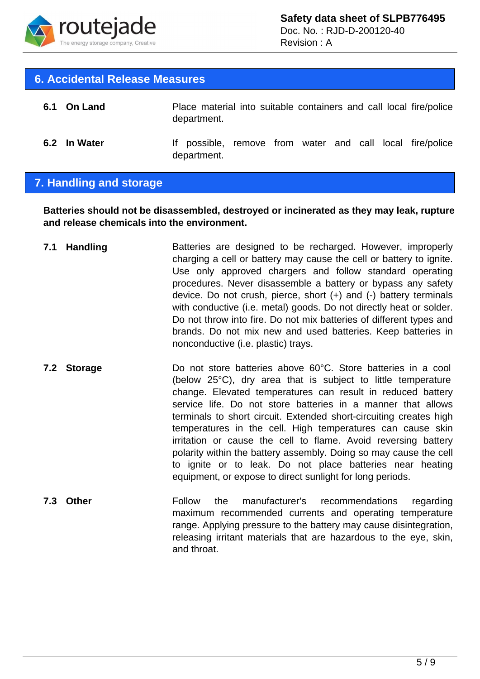

Revision : A

#### **6. Accidental Release Measures**

| 6.1 On Land  | department. |  |  |  | Place material into suitable containers and call local fire/police |
|--------------|-------------|--|--|--|--------------------------------------------------------------------|
| 6.2 In Water | department. |  |  |  | If possible, remove from water and call local fire/police          |

### **7. Handling and storage**

**Batteries should not be disassembled, destroyed or incinerated as they may leak, rupture and release chemicals into the environment.**

- **7.1 Handling** Batteries are designed to be recharged. However, improperly charging a cell or battery may cause the cell or battery to ignite. Use only approved chargers and follow standard operating procedures. Never disassemble a battery or bypass any safety device. Do not crush, pierce, short (+) and (-) battery terminals with conductive (i.e. metal) goods. Do not directly heat or solder. Do not throw into fire. Do not mix batteries of different types and brands. Do not mix new and used batteries. Keep batteries in nonconductive (i.e. plastic) trays.
- **7.2 Storage Do not store batteries above 60°C. Store batteries in a cool** (below 25°C), dry area that is subject to little temperature change. Elevated temperatures can result in reduced battery service life. Do not store batteries in a manner that allows terminals to short circuit. Extended short-circuiting creates high temperatures in the cell. High temperatures can cause skin irritation or cause the cell to flame. Avoid reversing battery polarity within the battery assembly. Doing so may cause the cell to ignite or to leak. Do not place batteries near heating equipment, or expose to direct sunlight for long periods.
- **7.3 Other Follow** the manufacturer's recommendations regarding maximum recommended currents and operating temperature range. Applying pressure to the battery may cause disintegration, releasing irritant materials that are hazardous to the eye, skin, and throat.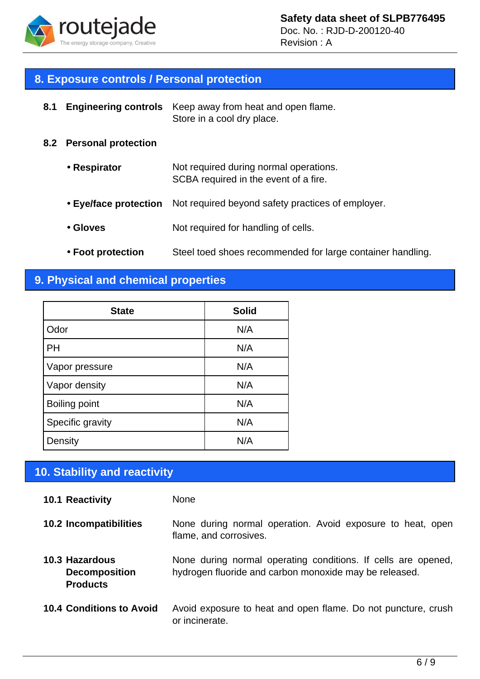

Revision : A

### **8. Exposure controls / Personal protection**

| 8.1 | <b>Engineering controls</b> | Keep away from heat and open flame.<br>Store in a cool dry place.               |
|-----|-----------------------------|---------------------------------------------------------------------------------|
|     | 8.2 Personal protection     |                                                                                 |
|     | • Respirator                | Not required during normal operations.<br>SCBA required in the event of a fire. |
|     | • Eye/face protection       | Not required beyond safety practices of employer.                               |
|     | • Gloves                    | Not required for handling of cells.                                             |
|     |                             |                                                                                 |

• **Foot protection** Steel toed shoes recommended for large container handling.

### **9. Physical and chemical properties**

| <b>State</b>     | <b>Solid</b> |
|------------------|--------------|
| Odor             | N/A          |
| PH               | N/A          |
| Vapor pressure   | N/A          |
| Vapor density    | N/A          |
| Boiling point    | N/A          |
| Specific gravity | N/A          |
| Density          | N/A          |

### **10. Stability and reactivity**

#### **10.1 Reactivity** None

- **10.2 Incompatibilities** None during normal operation. Avoid exposure to heat, open flame, and corrosives.
- **10.3 Hazardous Decomposition Products** None during normal operating conditions. If cells are opened, hydrogen fluoride and carbon monoxide may be released.
- **10.4 Conditions to Avoid** Avoid exposure to heat and open flame. Do not puncture, crush or incinerate.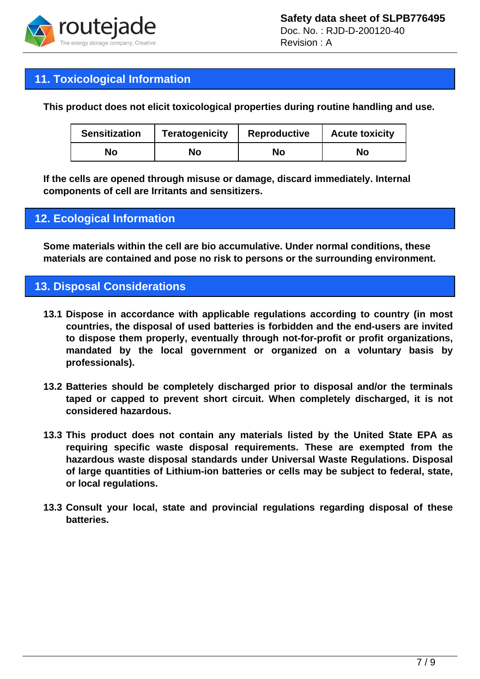

### **11. Toxicological Information**

**This product does not elicit toxicological properties during routine handling and use.**

| <b>Sensitization</b> | <b>Teratogenicity</b> | <b>Reproductive</b> | <b>Acute toxicity</b> |
|----------------------|-----------------------|---------------------|-----------------------|
| No                   | No                    | No                  | No                    |

**If the cells are opened through misuse or damage, discard immediately. Internal components of cell are Irritants and sensitizers.**

### **12. Ecological Information**

**Some materials within the cell are bio accumulative. Under normal conditions, these materials are contained and pose no risk to persons or the surrounding environment.**

### **13. Disposal Considerations**

- **13.1 Dispose in accordance with applicable regulations according to country (in most countries, the disposal of used batteries is forbidden and the end-users are invited to dispose them properly, eventually through not-for-profit or profit organizations, mandated by the local government or organized on a voluntary basis by professionals).**
- **13.2 Batteries should be completely discharged prior to disposal and/or the terminals taped or capped to prevent short circuit. When completely discharged, it is not considered hazardous.**
- **13.3 This product does not contain any materials listed by the United State EPA as requiring specific waste disposal requirements. These are exempted from the hazardous waste disposal standards under Universal Waste Regulations. Disposal of large quantities of Lithium-ion batteries or cells may be subject to federal, state, or local regulations.**
- **13.3 Consult your local, state and provincial regulations regarding disposal of these batteries.**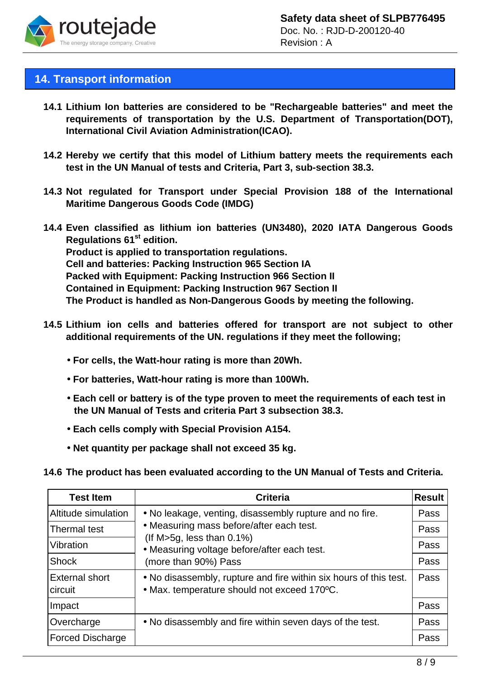

### **14. Transport information**

- **14.1 Lithium Ion batteries are considered to be "Rechargeable batteries" and meet the requirements of transportation by the U.S. Department of Transportation(DOT), International Civil Aviation Administration(ICAO).**
- **14.2 Hereby we certify that this model of Lithium battery meets the requirements each test in the UN Manual of tests and Criteria, Part 3, sub-section 38.3.**
- **14.3 Not regulated for Transport under Special Provision 188 of the International Maritime Dangerous Goods Code (IMDG)**
- **14.4 Even classified as lithium ion batteries (UN3480), 2020 IATA Dangerous Goods Regulations 61st edition. Product is applied to transportation regulations. Cell and batteries: Packing Instruction 965 Section IA Packed with Equipment: Packing Instruction 966 Section II Contained in Equipment: Packing Instruction 967 Section II The Product is handled as Non-Dangerous Goods by meeting the following.**
- **14.5 Lithium ion cells and batteries offered for transport are not subject to other additional requirements of the UN. regulations if they meet the following;** 
	- • **For cells, the Watt-hour rating is more than 20Wh.**
	- • **For batteries, Watt-hour rating is more than 100Wh.**
	- • **Each cell or battery is of the type proven to meet the requirements of each test in the UN Manual of Tests and criteria Part 3 subsection 38.3.**
	- • **Each cells comply with Special Provision A154.**
	- • **Net quantity per package shall not exceed 35 kg.**
- **14.6 The product has been evaluated according to the UN Manual of Tests and Criteria.**

| <b>Test Item</b>                 | <b>Criteria</b>                                                                                                                                  | <b>Result</b> |
|----------------------------------|--------------------------------------------------------------------------------------------------------------------------------------------------|---------------|
| Altitude simulation              | • No leakage, venting, disassembly rupture and no fire.                                                                                          | Pass          |
| Thermal test                     | • Measuring mass before/after each test.<br>(If M>5g, less than $0.1\%$ )<br>• Measuring voltage before/after each test.<br>(more than 90%) Pass | Pass          |
| Vibration                        |                                                                                                                                                  | Pass          |
| <b>Shock</b>                     |                                                                                                                                                  | Pass          |
| <b>External short</b><br>circuit | • No disassembly, rupture and fire within six hours of this test.<br>• Max. temperature should not exceed 170°C.                                 | Pass          |
| Impact                           |                                                                                                                                                  | Pass          |
| Overcharge                       | • No disassembly and fire within seven days of the test.                                                                                         | Pass          |
| <b>Forced Discharge</b>          |                                                                                                                                                  | Pass          |